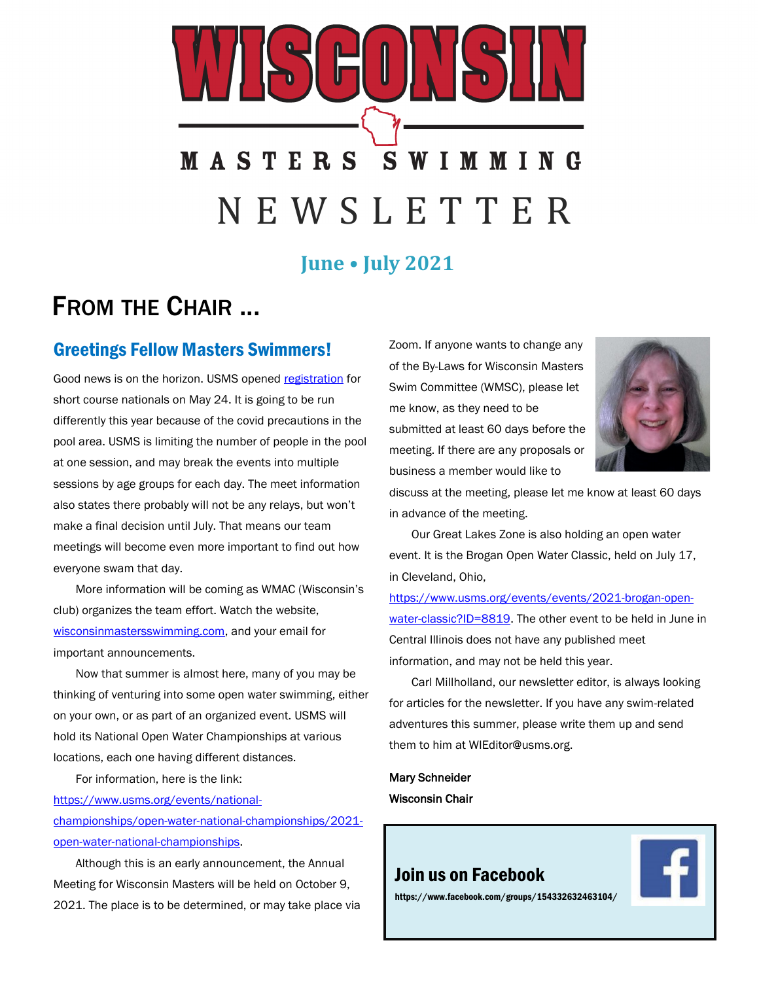# IHUNK **MASTERS SWIMMING** N E W S L E T T E R

## **June • July 2021**

## FROM THE CHAIR ...

## Greetings Fellow Masters Swimmers!

Good news is on the horizon. USMS opened [registration](https://www.clubassistant.com/club/meet_information.cfm?c=2529&smid=13934) for short course nationals on May 24. It is going to be run differently this year because of the covid precautions in the pool area. USMS is limiting the number of people in the pool at one session, and may break the events into multiple sessions by age groups for each day. The meet information also states there probably will not be any relays, but won't make a final decision until July. That means our team meetings will become even more important to find out how everyone swam that day.

More information will be coming as WMAC (Wisconsin's club) organizes the team effort. Watch the website, [wisconsinmastersswimming.com,](https://wisconsinmastersswimming.com) and your email for important announcements.

Now that summer is almost here, many of you may be thinking of venturing into some open water swimming, either on your own, or as part of an organized event. USMS will hold its National Open Water Championships at various locations, each one having different distances.

For information, here is the link:

[https://www.usms.org/events/national](https://www.usms.org/events/national-championships/open-water-national-championships/2021-open-water-national-championships)[championships/open-water-national-championships/2021](https://www.usms.org/events/national-championships/open-water-national-championships/2021-open-water-national-championships) [open-water-national-championships.](https://www.usms.org/events/national-championships/open-water-national-championships/2021-open-water-national-championships)

Although this is an early announcement, the Annual Meeting for Wisconsin Masters will be held on October 9, 2021. The place is to be determined, or may take place via Zoom. If anyone wants to change any of the By-Laws for Wisconsin Masters Swim Committee (WMSC), please let me know, as they need to be submitted at least 60 days before the meeting. If there are any proposals or business a member would like to



discuss at the meeting, please let me know at least 60 days in advance of the meeting.

Our Great Lakes Zone is also holding an open water event. It is the Brogan Open Water Classic, held on July 17, in Cleveland, Ohio,

[https://www.usms.org/events/events/2021-brogan-open](https://www.usms.org/events/events/2021-brogan-open-water-classic?ID=8819)[water-classic?ID=8819.](https://www.usms.org/events/events/2021-brogan-open-water-classic?ID=8819) The other event to be held in June in Central Illinois does not have any published meet information, and may not be held this year.

Carl Millholland, our newsletter editor, is always looking for articles for the newsletter. If you have any swim-related adventures this summer, please write them up and send them to him at WIEditor@usms.org.

Mary Schneider Wisconsin Chair

## [Join us on Facebook](https://www.facebook.com/groups/154332632463104/)



https://www.facebook.com/groups/154332632463104/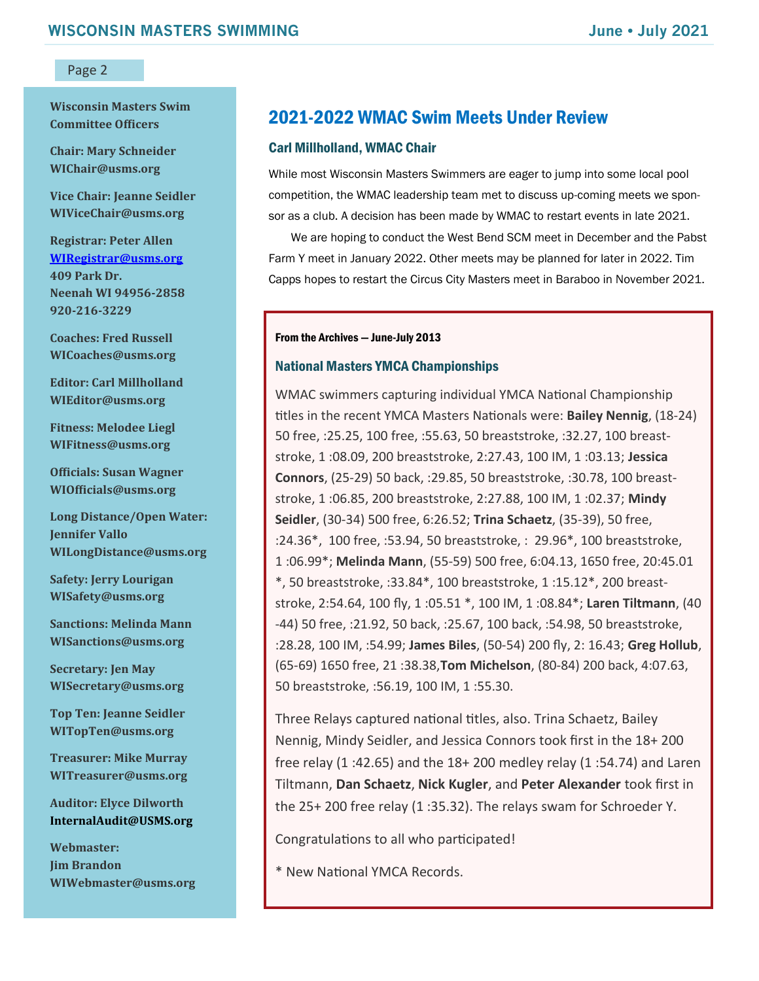**Wisconsin Masters Swim Committee Officers**

**Chair: Mary Schneider WIChair@usms.org**

**Vice Chair: Jeanne Seidler WIViceChair@usms.org**

**Registrar: Peter Allen [WIRegistrar@usms.org](mailto:WIRegistrar@usms.org) 409 Park Dr. Neenah WI 94956-2858 920-216-3229**

**Coaches: Fred Russell WICoaches@usms.org**

**Editor: Carl Millholland WIEditor@usms.org**

**Fitness: Melodee Liegl WIFitness@usms.org**

**Officials: Susan Wagner WIOfficials@usms.org**

**Long Distance/Open Water: Jennifer Vallo WILongDistance@usms.org**

**Safety: Jerry Lourigan WISafety@usms.org**

**Sanctions: Melinda Mann WISanctions@usms.org**

**Secretary: Jen May WISecretary@usms.org**

**Top Ten: Jeanne Seidler WITopTen@usms.org**

**Treasurer: Mike Murray WITreasurer@usms.org**

**Auditor: Elyce Dilworth [InternalAudit@USMS.org](mailto:InternalAudit@USMS.org)**

**Webmaster: Jim Brandon WIWebmaster@usms.org**

## 2021-2022 WMAC Swim Meets Under Review

#### Carl Millholland, WMAC Chair

While most Wisconsin Masters Swimmers are eager to jump into some local pool competition, the WMAC leadership team met to discuss up-coming meets we sponsor as a club. A decision has been made by WMAC to restart events in late 2021.

We are hoping to conduct the West Bend SCM meet in December and the Pabst Farm Y meet in January 2022. Other meets may be planned for later in 2022. Tim Capps hopes to restart the Circus City Masters meet in Baraboo in November 2021.

#### From the Archives — June-July 2013

#### National Masters YMCA Championships

WMAC swimmers capturing individual YMCA National Championship titles in the recent YMCA Masters Nationals were: **Bailey Nennig**, (18-24) 50 free, :25.25, 100 free, :55.63, 50 breaststroke, :32.27, 100 breaststroke, 1 :08.09, 200 breaststroke, 2:27.43, 100 IM, 1 :03.13; **Jessica Connors**, (25-29) 50 back, :29.85, 50 breaststroke, :30.78, 100 breaststroke, 1 :06.85, 200 breaststroke, 2:27.88, 100 IM, 1 :02.37; **Mindy Seidler**, (30-34) 500 free, 6:26.52; **Trina Schaetz**, (35-39), 50 free, :24.36\*, 100 free, :53.94, 50 breaststroke, : 29.96\*, 100 breaststroke, 1 :06.99\*; **Melinda Mann**, (55-59) 500 free, 6:04.13, 1650 free, 20:45.01 \*, 50 breaststroke, :33.84\*, 100 breaststroke, 1 :15.12\*, 200 breaststroke, 2:54.64, 100 fly, 1 :05.51 \*, 100 IM, 1 :08.84\*; **Laren Tiltmann**, (40 -44) 50 free, :21.92, 50 back, :25.67, 100 back, :54.98, 50 breaststroke, :28.28, 100 IM, :54.99; **James Biles**, (50-54) 200 fly, 2: 16.43; **Greg Hollub**, (65-69) 1650 free, 21 :38.38,**Tom Michelson**, (80-84) 200 back, 4:07.63, 50 breaststroke, :56.19, 100 IM, 1 :55.30.

Three Relays captured national titles, also. Trina Schaetz, Bailey Nennig, Mindy Seidler, and Jessica Connors took first in the 18+ 200 free relay (1 :42.65) and the 18+ 200 medley relay (1 :54.74) and Laren Tiltmann, **Dan Schaetz**, **Nick Kugler**, and **Peter Alexander** took first in the 25+ 200 free relay (1 :35.32). The relays swam for Schroeder Y.

Congratulations to all who participated!

\* New National YMCA Records.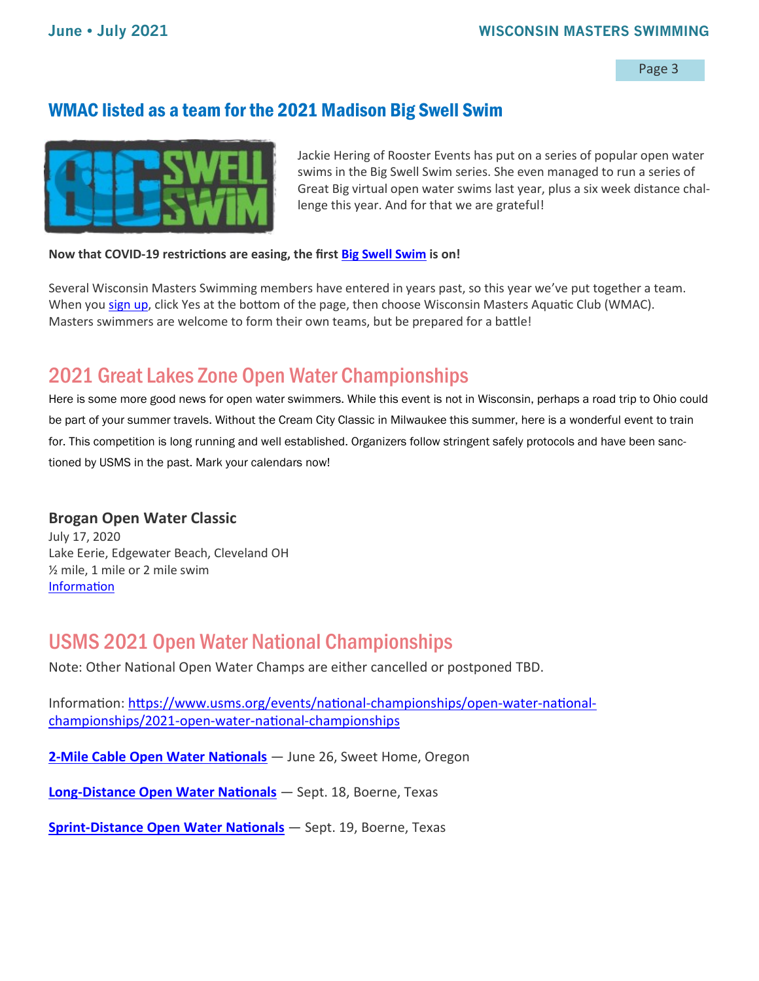## WMAC listed as a team for the 2021 Madison Big Swell Swim



Jackie Hering of Rooster Events has put on a series of popular open water swims in the Big Swell Swim series. She even managed to run a series of Great Big virtual open water swims last year, plus a six week distance challenge this year. And for that we are grateful!

**Now that COVID-19 restrictions are easing, the first [Big Swell Swim](http://roosterevents.com/big-swell-swim.html) is on!** 

Several Wisconsin Masters Swimming members have entered in years past, so this year we've put together a team. When you [sign up,](https://runsignup.com/Race/WI/Madison/BSSDL) click Yes at the bottom of the page, then choose Wisconsin Masters Aquatic Club (WMAC). Masters swimmers are welcome to form their own teams, but be prepared for a battle!

## 2021 Great Lakes Zone Open Water Championships

Here is some more good news for open water swimmers. While this event is not in Wisconsin, perhaps a road trip to Ohio could be part of your summer travels. Without the Cream City Classic in Milwaukee this summer, here is a wonderful event to train for. This competition is long running and well established. Organizers follow stringent safely protocols and have been sanctioned by USMS in the past. Mark your calendars now!

#### **Brogan Open Water Classic**

July 17, 2020 Lake Eerie, Edgewater Beach, Cleveland OH ½ mile, 1 mile or 2 mile swim [Information](https://www.clubassistant.com/club/meet_information.cfm?c=1236&smid=13522)

## USMS 2021 Open Water National Championships

Note: Other National Open Water Champs are either cancelled or postponed TBD.

Information: [https://www.usms.org/events/national](https://www.usms.org/events/national-championships/open-water-national-championships/2021-open-water-national-championships)-championships/open-water-national[championships/2021](https://www.usms.org/events/national-championships/open-water-national-championships/2021-open-water-national-championships)-open-water-national-championships

**2-[Mile Cable Open Water Nationals](https://www.clubassistant.com/club/meet_information.cfm?c=1756&smid=13500&_ga=2.198644335.1936068466.1622126032-567158436.1622126032)** — June 26, Sweet Home, Oregon

**Long-[Distance Open Water Nationals](https://www.mastersofsouthtexas.org/more.cfm?artid=11703&pagetitle=Home)** — Sept. 18, Boerne, Texas

**Sprint-[Distance Open Water Nationals](https://www.mastersofsouthtexas.org/more.cfm?artid=11703&pagetitle=Home)** — Sept. 19, Boerne, Texas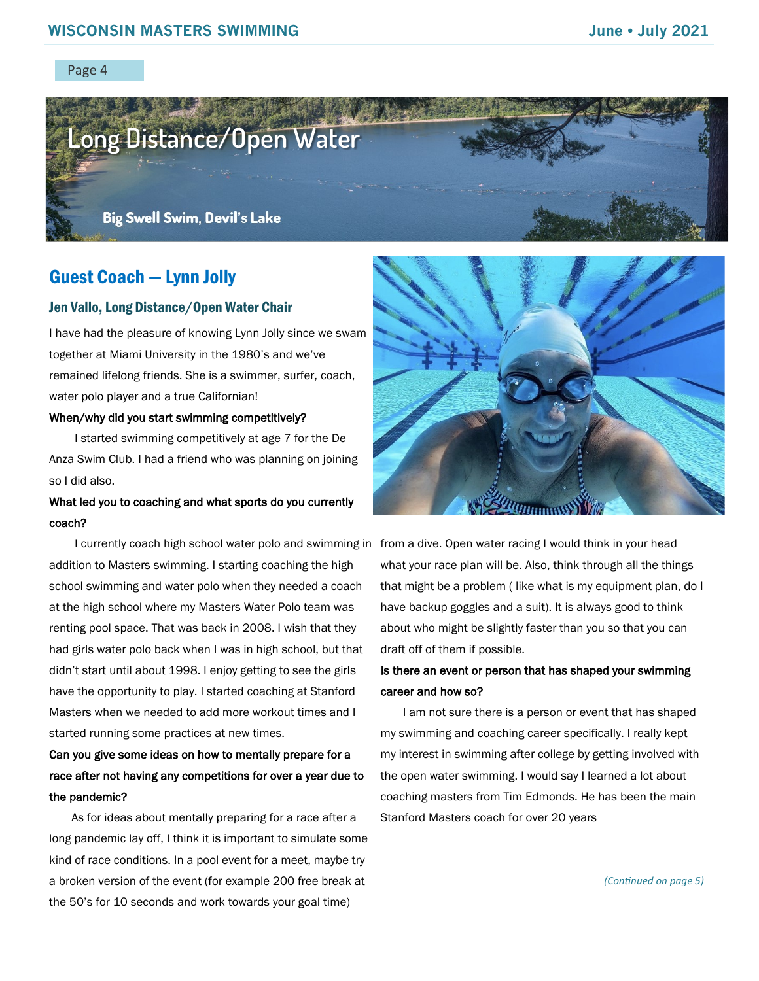

## Guest Coach — Lynn Jolly

#### Jen Vallo, Long Distance/Open Water Chair

I have had the pleasure of knowing Lynn Jolly since we swam together at Miami University in the 1980's and we've remained lifelong friends. She is a swimmer, surfer, coach, water polo player and a true Californian!

#### When/why did you start swimming competitively?

I started swimming competitively at age 7 for the De Anza Swim Club. I had a friend who was planning on joining so I did also.

#### What led you to coaching and what sports do you currently coach?

addition to Masters swimming. I starting coaching the high school swimming and water polo when they needed a coach at the high school where my Masters Water Polo team was renting pool space. That was back in 2008. I wish that they had girls water polo back when I was in high school, but that didn't start until about 1998. I enjoy getting to see the girls have the opportunity to play. I started coaching at Stanford Masters when we needed to add more workout times and I started running some practices at new times.

## Can you give some ideas on how to mentally prepare for a race after not having any competitions for over a year due to the pandemic?

As for ideas about mentally preparing for a race after a long pandemic lay off, I think it is important to simulate some kind of race conditions. In a pool event for a meet, maybe try a broken version of the event (for example 200 free break at the 50's for 10 seconds and work towards your goal time)



I currently coach high school water polo and swimming in from a dive. Open water racing I would think in your head what your race plan will be. Also, think through all the things that might be a problem ( like what is my equipment plan, do I have backup goggles and a suit). It is always good to think about who might be slightly faster than you so that you can draft off of them if possible.

#### Is there an event or person that has shaped your swimming career and how so?

I am not sure there is a person or event that has shaped my swimming and coaching career specifically. I really kept my interest in swimming after college by getting involved with the open water swimming. I would say I learned a lot about coaching masters from Tim Edmonds. He has been the main Stanford Masters coach for over 20 years

*(Continued on page 5)*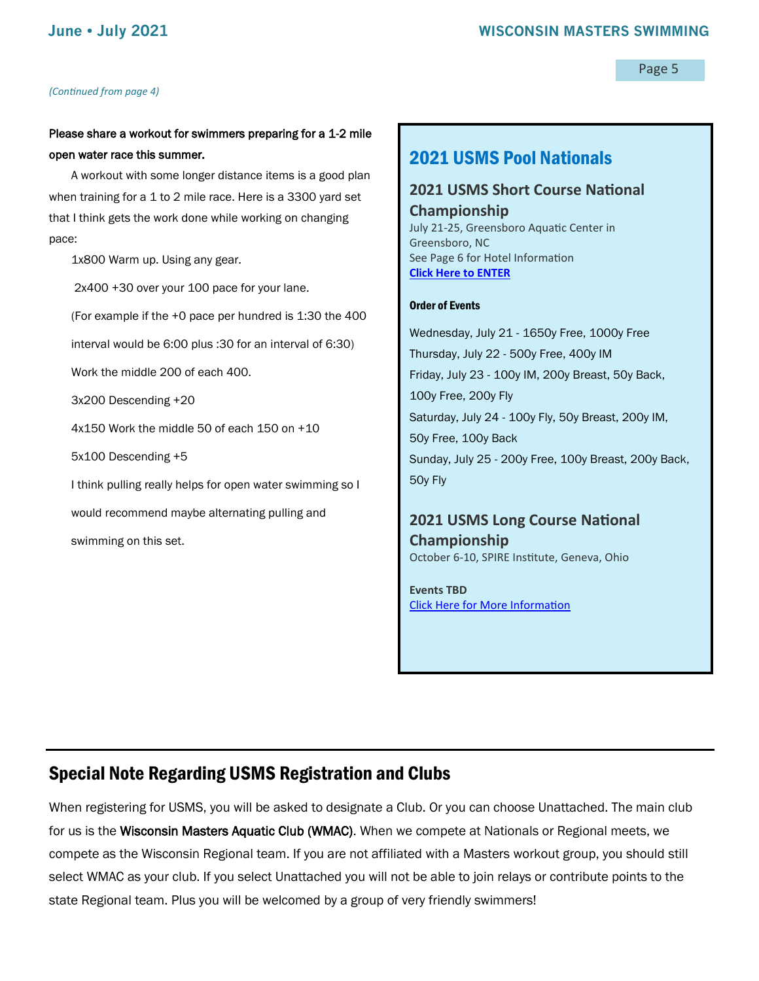#### *(Continued from page 4)*

Page 5

#### Please share a workout for swimmers preparing for a 1-2 mile open water race this summer.

A workout with some longer distance items is a good plan when training for a 1 to 2 mile race. Here is a 3300 yard set that I think gets the work done while working on changing pace:

1x800 Warm up. Using any gear.

2x400 +30 over your 100 pace for your lane. (For example if the +0 pace per hundred is 1:30 the 400 interval would be 6:00 plus :30 for an interval of 6:30) Work the middle 200 of each 400. 3x200 Descending +20 4x150 Work the middle 50 of each 150 on +10 5x100 Descending +5 I think pulling really helps for open water swimming so I would recommend maybe alternating pulling and swimming on this set.

## 2021 USMS Pool Nationals

#### **2021 USMS Short Course National Championship**

July 21-25, Greensboro Aquatic Center in Greensboro, NC See Page 6 for Hotel Information **[Click Here to ENTER](https://www.clubassistant.com/club/meet_information.cfm?c=2529&smid=13934)**

#### Order of Events

Wednesday, July 21 - 1650y Free, 1000y Free Thursday, July 22 - 500y Free, 400y IM Friday, July 23 - 100y IM, 200y Breast, 50y Back, 100y Free, 200y Fly Saturday, July 24 - 100y Fly, 50y Breast, 200y IM, 50y Free, 100y Back Sunday, July 25 - 200y Free, 100y Breast, 200y Back, 50y Fly

### **2021 USMS Long Course National Championship**

October 6-10, SPIRE Institute, Geneva, Ohio

**Events TBD** [Click Here for More Information](https://www.usms.org/events/national-championships/pool-national-championships/2021-pool-national-championships/2021-long-course-national-championship)

## Special Note Regarding USMS Registration and Clubs

When registering for USMS, you will be asked to designate a Club. Or you can choose Unattached. The main club for us is the Wisconsin Masters Aquatic Club (WMAC). When we compete at Nationals or Regional meets, we compete as the Wisconsin Regional team. If you are not affiliated with a Masters workout group, you should still select WMAC as your club. If you select Unattached you will not be able to join relays or contribute points to the state Regional team. Plus you will be welcomed by a group of very friendly swimmers!